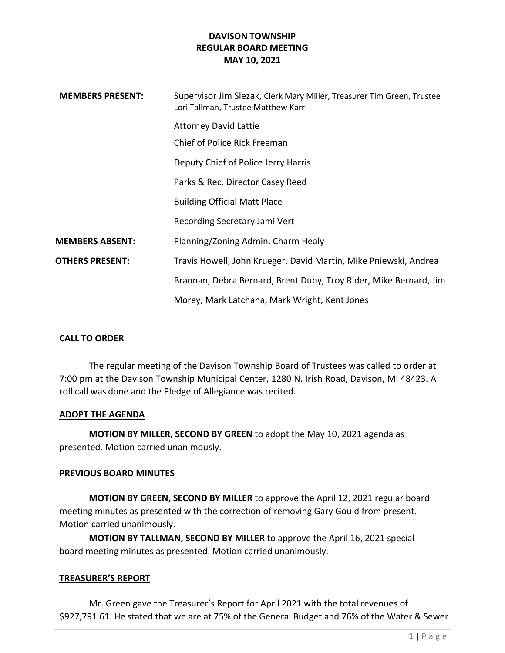| <b>MEMBERS PRESENT:</b> | Supervisor Jim Slezak, Clerk Mary Miller, Treasurer Tim Green, Trustee<br>Lori Tallman, Trustee Matthew Karr |
|-------------------------|--------------------------------------------------------------------------------------------------------------|
|                         | <b>Attorney David Lattie</b>                                                                                 |
|                         | Chief of Police Rick Freeman                                                                                 |
|                         | Deputy Chief of Police Jerry Harris                                                                          |
|                         | Parks & Rec. Director Casey Reed                                                                             |
|                         | <b>Building Official Matt Place</b>                                                                          |
|                         | Recording Secretary Jami Vert                                                                                |
| <b>MEMBERS ABSENT:</b>  | Planning/Zoning Admin. Charm Healy                                                                           |
| <b>OTHERS PRESENT:</b>  | Travis Howell, John Krueger, David Martin, Mike Pniewski, Andrea                                             |
|                         | Brannan, Debra Bernard, Brent Duby, Troy Rider, Mike Bernard, Jim                                            |
|                         | Morey, Mark Latchana, Mark Wright, Kent Jones                                                                |

### CALL TO ORDER

The regular meeting of the Davison Township Board of Trustees was called to order at 7:00 pm at the Davison Township Municipal Center, 1280 N. Irish Road, Davison, MI 48423. A roll call was done and the Pledge of Allegiance was recited.

#### ADOPT THE AGENDA

MOTION BY MILLER, SECOND BY GREEN to adopt the May 10, 2021 agenda as presented. Motion carried unanimously.

#### PREVIOUS BOARD MINUTES

MOTION BY GREEN, SECOND BY MILLER to approve the April 12, 2021 regular board meeting minutes as presented with the correction of removing Gary Gould from present. Motion carried unanimously.

MOTION BY TALLMAN, SECOND BY MILLER to approve the April 16, 2021 special board meeting minutes as presented. Motion carried unanimously.

#### TREASURER'S REPORT

Mr. Green gave the Treasurer's Report for April 2021 with the total revenues of \$927,791.61. He stated that we are at 75% of the General Budget and 76% of the Water & Sewer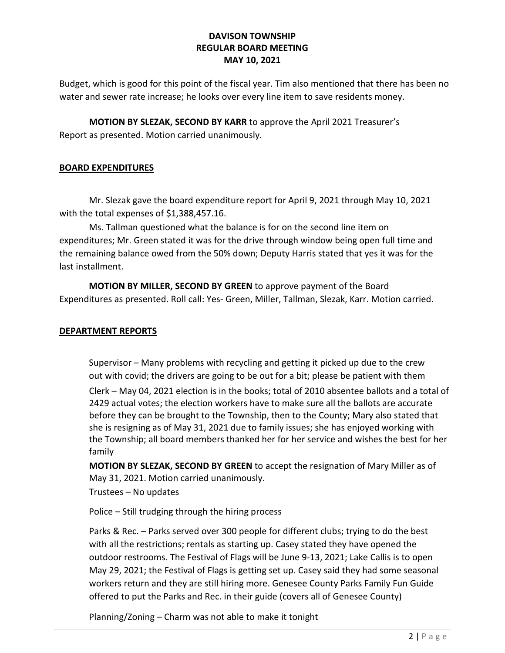Budget, which is good for this point of the fiscal year. Tim also mentioned that there has been no water and sewer rate increase; he looks over every line item to save residents money.

MOTION BY SLEZAK, SECOND BY KARR to approve the April 2021 Treasurer's Report as presented. Motion carried unanimously.

## BOARD EXPENDITURES

Mr. Slezak gave the board expenditure report for April 9, 2021 through May 10, 2021 with the total expenses of \$1,388,457.16.

Ms. Tallman questioned what the balance is for on the second line item on expenditures; Mr. Green stated it was for the drive through window being open full time and the remaining balance owed from the 50% down; Deputy Harris stated that yes it was for the last installment.

MOTION BY MILLER, SECOND BY GREEN to approve payment of the Board Expenditures as presented. Roll call: Yes- Green, Miller, Tallman, Slezak, Karr. Motion carried.

### DEPARTMENT REPORTS

Supervisor – Many problems with recycling and getting it picked up due to the crew out with covid; the drivers are going to be out for a bit; please be patient with them

Clerk – May 04, 2021 election is in the books; total of 2010 absentee ballots and a total of 2429 actual votes; the election workers have to make sure all the ballots are accurate before they can be brought to the Township, then to the County; Mary also stated that she is resigning as of May 31, 2021 due to family issues; she has enjoyed working with the Township; all board members thanked her for her service and wishes the best for her family

MOTION BY SLEZAK, SECOND BY GREEN to accept the resignation of Mary Miller as of May 31, 2021. Motion carried unanimously.

Trustees – No updates

Police – Still trudging through the hiring process

Parks & Rec. – Parks served over 300 people for different clubs; trying to do the best with all the restrictions; rentals as starting up. Casey stated they have opened the outdoor restrooms. The Festival of Flags will be June 9-13, 2021; Lake Callis is to open May 29, 2021; the Festival of Flags is getting set up. Casey said they had some seasonal workers return and they are still hiring more. Genesee County Parks Family Fun Guide offered to put the Parks and Rec. in their guide (covers all of Genesee County)

Planning/Zoning – Charm was not able to make it tonight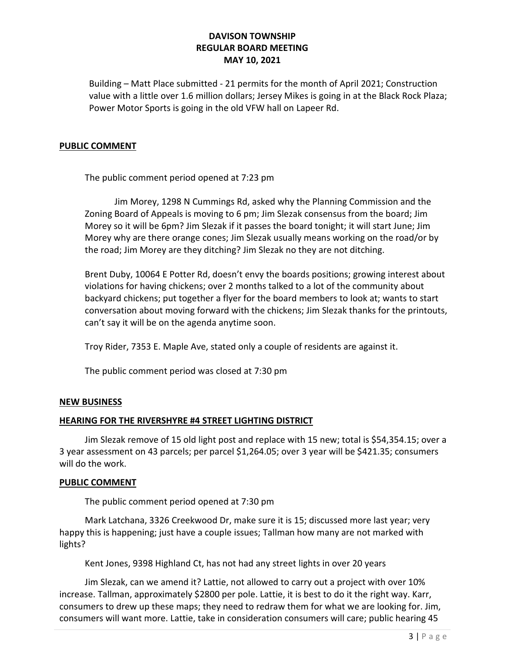Building – Matt Place submitted - 21 permits for the month of April 2021; Construction value with a little over 1.6 million dollars; Jersey Mikes is going in at the Black Rock Plaza; Power Motor Sports is going in the old VFW hall on Lapeer Rd.

#### PUBLIC COMMENT

The public comment period opened at 7:23 pm

 Jim Morey, 1298 N Cummings Rd, asked why the Planning Commission and the Zoning Board of Appeals is moving to 6 pm; Jim Slezak consensus from the board; Jim Morey so it will be 6pm? Jim Slezak if it passes the board tonight; it will start June; Jim Morey why are there orange cones; Jim Slezak usually means working on the road/or by the road; Jim Morey are they ditching? Jim Slezak no they are not ditching.

Brent Duby, 10064 E Potter Rd, doesn't envy the boards positions; growing interest about violations for having chickens; over 2 months talked to a lot of the community about backyard chickens; put together a flyer for the board members to look at; wants to start conversation about moving forward with the chickens; Jim Slezak thanks for the printouts, can't say it will be on the agenda anytime soon.

Troy Rider, 7353 E. Maple Ave, stated only a couple of residents are against it.

The public comment period was closed at 7:30 pm

### NEW BUSINESS

### HEARING FOR THE RIVERSHYRE #4 STREET LIGHTING DISTRICT

Jim Slezak remove of 15 old light post and replace with 15 new; total is \$54,354.15; over a 3 year assessment on 43 parcels; per parcel \$1,264.05; over 3 year will be \$421.35; consumers will do the work.

### PUBLIC COMMENT

The public comment period opened at 7:30 pm

 Mark Latchana, 3326 Creekwood Dr, make sure it is 15; discussed more last year; very happy this is happening; just have a couple issues; Tallman how many are not marked with lights?

Kent Jones, 9398 Highland Ct, has not had any street lights in over 20 years

 Jim Slezak, can we amend it? Lattie, not allowed to carry out a project with over 10% increase. Tallman, approximately \$2800 per pole. Lattie, it is best to do it the right way. Karr, consumers to drew up these maps; they need to redraw them for what we are looking for. Jim, consumers will want more. Lattie, take in consideration consumers will care; public hearing 45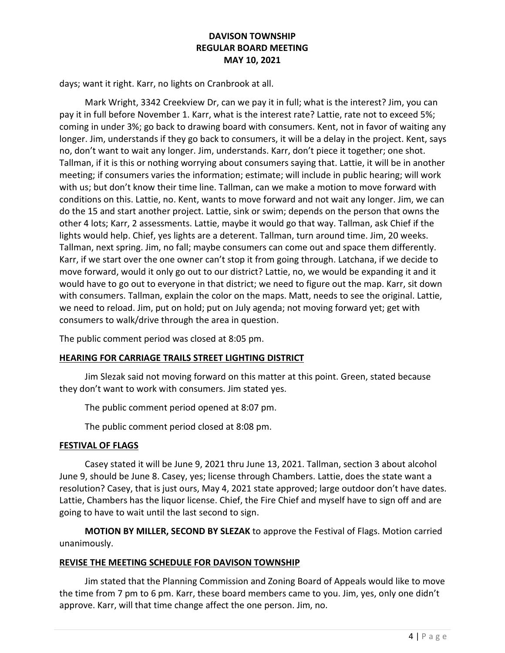days; want it right. Karr, no lights on Cranbrook at all.

 Mark Wright, 3342 Creekview Dr, can we pay it in full; what is the interest? Jim, you can pay it in full before November 1. Karr, what is the interest rate? Lattie, rate not to exceed 5%; coming in under 3%; go back to drawing board with consumers. Kent, not in favor of waiting any longer. Jim, understands if they go back to consumers, it will be a delay in the project. Kent, says no, don't want to wait any longer. Jim, understands. Karr, don't piece it together; one shot. Tallman, if it is this or nothing worrying about consumers saying that. Lattie, it will be in another meeting; if consumers varies the information; estimate; will include in public hearing; will work with us; but don't know their time line. Tallman, can we make a motion to move forward with conditions on this. Lattie, no. Kent, wants to move forward and not wait any longer. Jim, we can do the 15 and start another project. Lattie, sink or swim; depends on the person that owns the other 4 lots; Karr, 2 assessments. Lattie, maybe it would go that way. Tallman, ask Chief if the lights would help. Chief, yes lights are a deterent. Tallman, turn around time. Jim, 20 weeks. Tallman, next spring. Jim, no fall; maybe consumers can come out and space them differently. Karr, if we start over the one owner can't stop it from going through. Latchana, if we decide to move forward, would it only go out to our district? Lattie, no, we would be expanding it and it would have to go out to everyone in that district; we need to figure out the map. Karr, sit down with consumers. Tallman, explain the color on the maps. Matt, needs to see the original. Lattie, we need to reload. Jim, put on hold; put on July agenda; not moving forward yet; get with consumers to walk/drive through the area in question.

The public comment period was closed at 8:05 pm.

### HEARING FOR CARRIAGE TRAILS STREET LIGHTING DISTRICT

 Jim Slezak said not moving forward on this matter at this point. Green, stated because they don't want to work with consumers. Jim stated yes.

The public comment period opened at 8:07 pm.

The public comment period closed at 8:08 pm.

#### FESTIVAL OF FLAGS

 Casey stated it will be June 9, 2021 thru June 13, 2021. Tallman, section 3 about alcohol June 9, should be June 8. Casey, yes; license through Chambers. Lattie, does the state want a resolution? Casey, that is just ours, May 4, 2021 state approved; large outdoor don't have dates. Lattie, Chambers has the liquor license. Chief, the Fire Chief and myself have to sign off and are going to have to wait until the last second to sign.

MOTION BY MILLER, SECOND BY SLEZAK to approve the Festival of Flags. Motion carried unanimously.

### REVISE THE MEETING SCHEDULE FOR DAVISON TOWNSHIP

 Jim stated that the Planning Commission and Zoning Board of Appeals would like to move the time from 7 pm to 6 pm. Karr, these board members came to you. Jim, yes, only one didn't approve. Karr, will that time change affect the one person. Jim, no.